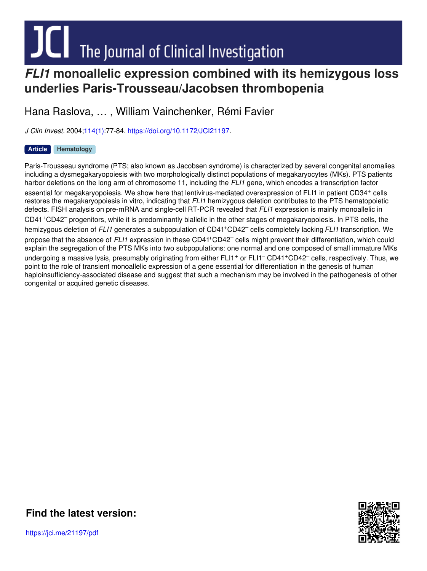# JU The Journal of Clinical Investigation

### *FLI1* **monoallelic expression combined with its hemizygous loss underlies Paris-Trousseau/Jacobsen thrombopenia**

Hana Raslova, … , William Vainchenker, Rémi Favier

*J Clin Invest.* 2004[;114\(1\)](http://www.jci.org/114/1?utm_campaign=cover-page&utm_medium=pdf&utm_source=content):77-84. <https://doi.org/10.1172/JCI21197>.

#### **[Article](http://www.jci.org/tags/73?utm_campaign=cover-page&utm_medium=pdf&utm_source=content) [Hematology](http://www.jci.org/tags/23?utm_campaign=cover-page&utm_medium=pdf&utm_source=content)**

Paris-Trousseau syndrome (PTS; also known as Jacobsen syndrome) is characterized by several congenital anomalies including a dysmegakaryopoiesis with two morphologically distinct populations of megakaryocytes (MKs). PTS patients harbor deletions on the long arm of chromosome 11, including the *FLI1* gene, which encodes a transcription factor essential for megakaryopoiesis. We show here that lentivirus-mediated overexpression of FLI1 in patient CD34<sup>+</sup> cells restores the megakaryopoiesis in vitro, indicating that *FLI1* hemizygous deletion contributes to the PTS hematopoietic defects. FISH analysis on pre-mRNA and single-cell RT-PCR revealed that *FLI1* expression is mainly monoallelic in CD41 <sup>+</sup>CD42 – progenitors, while it is predominantly biallelic in the other stages of megakaryopoiesis. In PTS cells, the hemizygous deletion of FLI1 generates a subpopulation of CD41<sup>+</sup>CD42<sup>-</sup> cells completely lacking FLI1 transcription. We propose that the absence of FLI1 expression in these CD41<sup>+</sup>CD42<sup>-</sup> cells might prevent their differentiation, which could explain the segregation of the PTS MKs into two subpopulations: one normal and one composed of small immature MKs undergoing a massive lysis, presumably originating from either FLI1<sup>+</sup> or FLI1<sup>-</sup> CD41<sup>+</sup>CD42<sup>-</sup> cells, respectively. Thus, we point to the role of transient monoallelic expression of a gene essential for differentiation in the genesis of human haploinsufficiency-associated disease and suggest that such a mechanism may be involved in the pathogenesis of other congenital or acquired genetic diseases.



**Find the [latest](https://jci.me/21197/pdf) version:**

https://jci.me/21197/pdf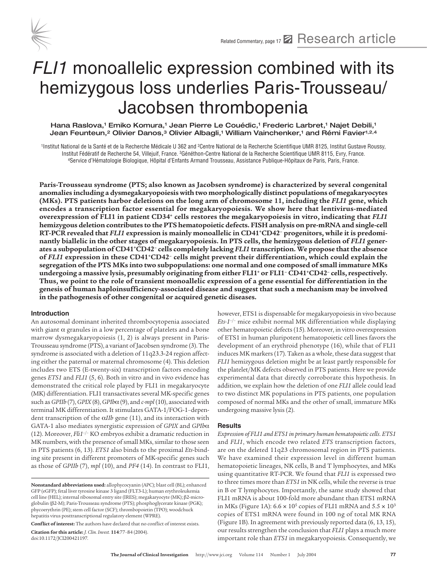

## FLI1 monoallelic expression combined with its hemizygous loss underlies Paris-Trousseau/ Jacobsen thrombopenia

Hana Raslova,<sup>1</sup> Emiko Komura,<sup>1</sup> Jean Pierre Le Couédic,<sup>1</sup> Frederic Larbret,<sup>1</sup> Najet Debili,<sup>1</sup> Jean Feunteun,<sup>2</sup> Olivier Danos,<sup>3</sup> Olivier Albagli,<sup>1</sup> William Vainchenker,<sup>1</sup> and Rémi Favier<sup>1,2,4</sup>

1Institut National de la Santé et de la Recherche Médicale U 362 and 2Centre National de la Recherche Scientifique UMR 8125, Institut Gustave Roussy, Institut Fédératif de Recherche 54, Villejuif, France. <sup>3</sup>Généthon-Centre National de la Recherche Scientifique UMR 8115, Evry, France.<br>4Service d'Hématologie Biologique, Hôpital d'Enfants Armand Trousseau, Assistance Publ

**Paris-Trousseau syndrome (PTS; also known as Jacobsen syndrome) is characterized by several congenital anomalies including a dysmegakaryopoiesis with two morphologically distinct populations of megakaryocytes (MKs). PTS patients harbor deletions on the long arm of chromosome 11, including the** *FLI1* **gene, which encodes a transcription factor essential for megakaryopoiesis. We show here that lentivirus-mediated overexpression of FLI1 in patient CD34+ cells restores the megakaryopoiesis in vitro, indicating that** *FLI1* **hemizygous deletion contributes to the PTS hematopoietic defects. FISH analysis on pre-mRNA and single-cell RT-PCR revealed that** *FLI1* **expression is mainly monoallelic in CD41+CD42– progenitors, while it is predominantly biallelic in the other stages of megakaryopoiesis. In PTS cells, the hemizygous deletion of** *FLI1* **generates a subpopulation of CD41+CD42– cells completely lacking** *FLI1* **transcription. We propose that the absence of** *FLI1* **expression in these CD41+CD42– cells might prevent their differentiation, which could explain the segregation of the PTS MKs into two subpopulations: one normal and one composed of small immature MKs**  undergoing a massive lysis, presumably originating from either FLI1<sup>+</sup> or FLI1<sup>-</sup> CD41<sup>+</sup>CD42<sup>-</sup> cells, respectively. **Thus, we point to the role of transient monoallelic expression of a gene essential for differentiation in the genesis of human haploinsufficiency-associated disease and suggest that such a mechanism may be involved in the pathogenesis of other congenital or acquired genetic diseases.**

#### **Introduction**

doi:10.1172/JCI200421197.

An autosomal dominant inherited thrombocytopenia associated with giant  $\alpha$  granules in a low percentage of platelets and a bone marrow dysmegakaryopoiesis (1, 2) is always present in Paris-Trousseau syndrome (PTS), a variant of Jacobsen syndrome (3). The syndrome is associated with a deletion of 11q23.3-24 region affecting either the paternal or maternal chromosome (4). This deletion includes two ETS (E-twenty-six) transcription factors encoding genes *ETS1* and *FLI1* (5, 6). Both in vitro and in vivo evidence has demonstrated the critical role played by FLI1 in megakaryocyte (MK) differentiation. FLI1 transactivates several MK-specific genes such as *GPIIb* (7), *GPIX* (8), *GPIb*α(9), and *c-mpl* (10), associated with terminal MK differentiation. It stimulates GATA-1/FOG-1–dependent transcription of the α*IIb* gene (11), and its interaction with GATA-1 also mediates synergistic expression of *GPIX* and *GPIb*α (12). Moreover, *Fli1*–/– KO embryos exhibit a dramatic reduction in MK numbers, with the presence of small MKs, similar to those seen in PTS patients (6, 13). *ETS1* also binds to the proximal *Ets*-binding site present in different promoters of MK-specific genes such as those of *GPIIb* (7), *mpl* (10), and *PF4* (14). In contrast to FLI1,

**Conflict of interest:** The authors have declared that no conflict of interest exists. **Citation for this article:** *J. Clin. Invest.* **114**:77–84 (2004).

however, ETS1 is dispensable for megakaryopoiesis in vivo because *Ets-1*–/– mice exhibit normal MK differentiation while displaying other hematopoietic defects (15). Moreover, in vitro overexpression of ETS1 in human pluripotent hematopoietic cell lines favors the development of an erythroid phenotype (16), while that of FLI1 induces MK markers (17). Taken as a whole, these data suggest that *FLI1* hemizygous deletion might be at least partly responsible for the platelet/MK defects observed in PTS patients. Here we provide experimental data that directly corroborate this hypothesis. In addition, we explain how the deletion of one *FLI1* allele could lead to two distinct MK populations in PTS patients, one population composed of normal MKs and the other of small, immature MKs undergoing massive lysis (2).

#### **Results**

*Expression of FLI1 and ETS1 in primary human hematopoietic cells*. *ETS1* and *FLI1*, which encode two related *ETS* transcription factors, are on the deleted 11q23 chromosomal region in PTS patients. We have examined their expression level in different human hematopoietic lineages, NK cells, B and T lymphocytes, and MKs using quantitative RT-PCR. We found that *FLI1* is expressed two to three times more than *ETS1* in NK cells, while the reverse is true in B or T lymphocytes. Importantly, the same study showed that FLI1 mRNA is about 100-fold more abundant than ETS1 mRNA in MKs (Figure 1A):  $6.6 \times 10^5$  copies of FLI1 mRNA and  $5.5 \times 10^3$ copies of ETS1 mRNA were found in 100 ng of total MK RNA (Figure 1B). In agreement with previously reported data (6, 13, 15), our results strengthen the conclusion that *FLI1* plays a much more important role than *ETS1* in megakaryopoiesis. Consequently, we

**Nonstandard abbreviations used:** allophycocyanin (APC); blast cell (BL); enhanced GFP (eGFP); fetal liver tyrosine kinase 3 ligand (FLT3-L); human erythroleukemia cell line (HEL); internal ribosomal entry site (IRES); megakaryocyte (MK); β2-microglobulin (β2-M); Paris-Trousseau syndrome (PTS); phosphoglycerate kinase (PGK); phycoerythrin (PE); stem cell factor (SCF); thrombopoietin (TPO); woodchuck hepatitis virus posttranscriptional regulatory element (WPRE).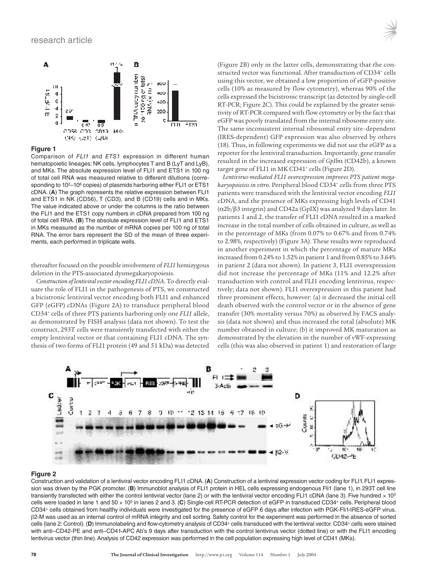

Comparison of FLI1 and ETS1 expression in different human hematopoietic lineages: NK cells, lymphocytes T and B (LyT and LyB), and MKs. The absolute expression level of FLI1 and ETS1 in 100 ng of total cell RNA was measured relative to different dilutions (corresponding to 10<sup>2</sup>–10<sup>6</sup> copies) of plasmids harboring either FLI1 or ETS1 cDNA. (**A**) The graph represents the relative expression between FLI1 and ETS1 in NK (CD56), T (CD3), and B (CD19) cells and in MKs. The value indicated above or under the columns is the ratio between the FLI1 and the ETS1 copy numbers in cDNA prepared from 100 ng of total cell RNA. (**B**) The absolute expression level of FLI1 and ETS1 in MKs measured as the number of mRNA copies per 100 ng of total RNA. The error bars represent the SD of the mean of three experiments, each performed in triplicate wells.

thereafter focused on the possible involvement of *FLI1* hemizygous deletion in the PTS-associated dysmegakaryopoiesis.

*Construction of lentiviral vector encoding FLI1 cDNA*. To directly evaluate the role of FLI1 in the pathogenesis of PTS, we constructed a bicistronic lentiviral vector encoding both FLI1 and enhanced GFP (eGFP) cDNAs (Figure 2A) to transduce peripheral blood CD34+ cells of three PTS patients harboring only one *FLI1* allele, as demonstrated by FISH analysis (data not shown). To test the construct, 293T cells were transiently transfected with either the empty lentiviral vector or that containing FLI1 cDNA. The synthesis of two forms of FLI1 protein (49 and 51 kDa) was detected

(Figure 2B) only in the latter cells, demonstrating that the constructed vector was functional. After transduction of CD34+ cells using this vector, we obtained a low proportion of eGFP-positive cells (10% as measured by flow cytometry), whereas 90% of the cells expressed the bicistronic transcript (as detected by single-cell RT-PCR; Figure 2C). This could be explained by the greater sensitivity of RT-PCR compared with flow cytometry or by the fact that eGFP was poorly translated from the internal ribosome entry site. The same inconsistent internal ribosomal entry site–dependent (IRES-dependent) GFP expression was also observed by others (18). Thus, in following experiments we did not use the eGFP as a reporter for the lentiviral transduction. Importantly, gene transfer resulted in the increased expression of *GpIb*α (CD42b), a known target gene of FLI1 in MK CD41<sup>+</sup> cells (Figure 2D).

*Lentivirus-mediated FLI1 overexpression improves PTS patient megakaryopoieisis in vitro*. Peripheral blood CD34+ cells from three PTS patients were transduced with the lentiviral vector encoding *FLI1* cDNA, and the presence of MKs expressing high levels of CD41 (α2b/β3 integrin) and CD42a (GpIX) was analyzed 9 days later. In patients 1 and 2, the transfer of FLI1 cDNA resulted in a marked increase in the total number of cells obtained in culture, as well as in the percentage of MKs (from 0.07% to 0.67% and from 0.74% to 2.98%, respectively) (Figure 3A). These results were reproduced in another experiment in which the percentage of mature MKs increased from 0.24% to 1.52% in patient 1 and from 0.85% to 3.64% in patient 2 (data not shown). In patient 3, FLI1 overexpression did not increase the percentage of MKs (11% and 12.2% after transduction with control and FLI1 encoding lentivirus, respectively; data not shown). FLI1 overexpression in this patient had three prominent effects, however: (a) it decreased the initial cell death observed with the control vector or in the absence of gene transfer (30% mortality versus 70%) as observed by FACS analysis (data not shown) and thus increased the total (absolute) MK number obtained in culture; (b) it improved MK maturation as demonstrated by the elevation in the number of vWF-expressing cells (this was also observed in patient 1) and restoration of large



#### **Figure 2**

Construction and validation of a lentiviral vector encoding FLI1 cDNA. (**A**) Construction of a lentiviral expression vector coding for FLI1. FLI1 expression was driven by the PGK promoter. (**B**) Immunoblot analysis of FLI1 protein in HEL cells expressing endogenous Fli1 (lane 1), in 293T cell line transiently transfected with either the control lentiviral vector (lane 2) or with the lentiviral vector encoding FLI1 cDNA (lane 3). Five hundred  $\times$  103 cells were loaded in lane 1 and 50 × 103 in lanes 2 and 3. (**C**) Single-cell RT-PCR detection of eGFP in transduced CD34+ cells. Peripheral blood CD34+ cells obtained from healthy individuals were investigated for the presence of eGFP 6 days after infection with PGK-Fli1-IRES-eGFP virus. β2-M was used as an internal control of mRNA integrity and cell sorting. Safety control for the experiment was performed in the absence of sorted cells (lane 2: Control). (**D**) Immunolabeling and flow-cytometry analysis of CD34+ cells transduced with the lentiviral vector. CD34+ cells were stained with anti–CD42-PE and anti–CD41-APC Ab's 9 days after transduction with the control lentivirus vector (dotted line) or with the FLI1 encoding lentivirus vector (thin line). Analysis of CD42 expression was performed in the cell population expressing high level of CD41 (MKs).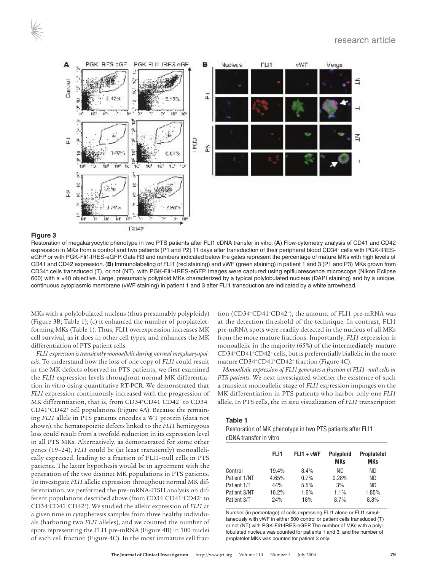

Restoration of megakaryocytic phenotype in two PTS patients after FLI1 cDNA transfer in vitro. (**A**) Flow-cytometry analysis of CD41 and CD42 expression in MKs from a control and two patients (P1 and P2) 11 days after transduction of their peripheral blood CD34+ cells with PGK-IRESeGFP or with PGK-Fli1-IRES-eGFP. Gate R3 and numbers indicated below the gates represent the percentage of mature MKs with high levels of CD41 and CD42 expression. (**B**) Immunolabeling of FLI1 (red staining) and vWF (green staining) in patient 1 and 3 (P1 and P3) MKs grown from CD34+ cells transduced (T), or not (NT), with PGK-Fli1-IRES-eGFP. Images were captured using epifluorescence microscope (Nikon Eclipse 600) with a ×40 objective. Large, presumably polyploid MKs characterized by a typical polylobulated nucleus (DAPI staining) and by a unique, continuous cytoplasmic membrane (vWF staining) in patient 1 and 3 after FLI1 transduction are indicated by a white arrowhead.

MKs with a polylobulated nucleus (thus presumably polyploidy) (Figure 3B; Table 1); (c) it enhanced the number of proplateletforming MKs (Table 1). Thus, FLI1 overexpression increases MK cell survival, as it does in other cell types, and enhances the MK differentiation of PTS patient cells.

*FLI1 expression is transiently monoallelic during normal megakaryopoiesis*. To understand how the loss of one copy of *FLI1* could result in the MK defects observed in PTS patients, we first examined the *FLI1* expression levels throughout normal MK differentiation in vitro using quantitative RT-PCR. We demonstrated that *FLI1* expression continuously increased with the progression of MK differentiation, that is, from CD34+CD41–CD42– to CD34– CD41+CD42+ cell populations (Figure 4A). Because the remaining *FLI1* allele in PTS patients encodes a WT protein (data not shown), the hematopoietic defects linked to the *FLI1* hemizygous loss could result from a twofold reduction in its expression level in all PTS MKs. Alternatively, as demonstrated for some other genes (19–24), *FLI1* could be (at least transiently) monoallelically expressed, leading to a fraction of FLI1–null cells in PTS patients. The latter hypothesis would be in agreement with the generation of the two distinct MK populations in PTS patients. To investigate *FLI1* allelic expression throughout normal MK differentiation, we performed the pre–mRNA-FISH analysis on different populations described above (from CD34+CD41–CD42– to CD34–CD41+CD42+). We studied the allelic expression of *FLI1* at a given time in cytapheresis samples from three healthy individuals (harboring two *FLI1* alleles), and we counted the number of spots representing the FLI1 pre-mRNA (Figure 4B) in 100 nuclei of each cell fraction (Figure 4C). In the most immature cell frac-

tion (CD34+CD41–CD42–), the amount of FLI1 pre-mRNA was at the detection threshold of the technique. In contrast, FLI1 pre-mRNA spots were readily detected in the nucleus of all MKs from the more mature fractions. Importantly, *FLI1* expression is monoallelic in the majority (65%) of the intermediately mature CD34+CD41+CD42– cells, but is preferentially biallelic in the more mature CD34+CD41+CD42+ fraction (Figure 4C).

*Monoallelic expression of FLI1 generates a fraction of FLI1–null cells in PTS patients*. We next investigated whether the existence of such a transient monoallelic stage of *FLI1* expression impinges on the MK differentiation in PTS patients who harbor only one *FLI1* allele. In PTS cells, the in situ visualization of *FLI1* transcription

#### **Table 1**

Restoration of MK phenotype in two PTS patients after FLI1 cDNA transfer in vitro

| <b>Proplatelet</b><br><b>MKs</b> |
|----------------------------------|
|                                  |
|                                  |
|                                  |
| 1.85%                            |
| 8.8%                             |
|                                  |

Number (in percentage) of cells expressing FLI1 alone or FLI1 simultaneously with vWF in either 500 control or patient cells transduced (T) or not (NT) with PGK-Fli1-IRES-eGFP. The number of MKs with a polylobulated nucleus was counted for patients 1 and 3, and the number of proplatelet MKs was counted for patient 3 only.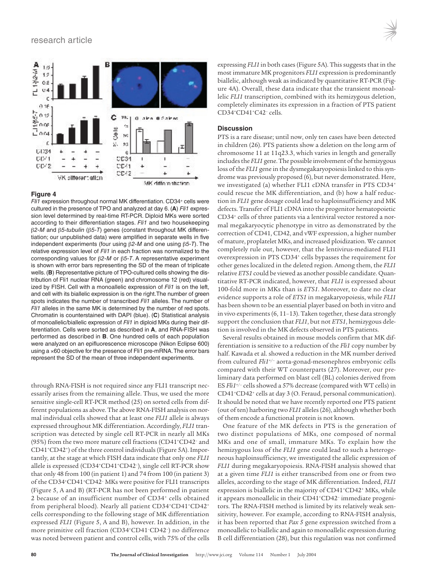

Fli1 expression throughout normal MK differentiation. CD34+ cells were cultured in the presence of TPO and analyzed at day 6. (**A**) Fli1 expression level determined by real-time RT-PCR. Diploid MKs were sorted according to their differentiation stages. Fli1 and two housekeeping β2-M and β5-tubulin (β5-T) genes (constant throughout MK differentiation; our unpublished data) were amplified in separate wells in five independent experiments (four using β2-M and one using β5-T). The relative expression level of Fli1 in each fraction was normalized to the corresponding values for β2-M or β5-T. A representative experiment is shown with error bars representing the SD of the mean of triplicate wells. (**B**) Representative picture of TPO-cultured cells showing the distribution of Fli1 nuclear RNA (green) and chromosome 12 (red) visualized by FISH. Cell with a monoallelic expression of Fli1 is on the left, and cell with its biallelic expression is on the right.The number of green spots indicates the number of transcribed Fli1 alleles. The number of Fli1 alleles in the same MK is determined by the number of red spots. Chromatin is counterstained with DAPI (blue). (**C**) Statistical analysis of monoallelic/biallelic expression of Fli1 in diploid MKs during their differentiation. Cells were sorted as described in **A**, and RNA-FISH was performed as described in **B**. One hundred cells of each population were analyzed on an epifluorescence microscope (Nikon Eclipse 600) using a ×60 objective for the presence of Fli1 pre-mRNA. The error bars represent the SD of the mean of three independent experiments.

through RNA-FISH is not required since any FLI1 transcript necessarily arises from the remaining allele. Thus, we used the more sensitive single-cell RT-PCR method (25) on sorted cells from different populations as above. The above RNA-FISH analysis on normal individual cells showed that at least one *FLI1* allele is always expressed throughout MK differentiation. Accordingly, *FLI1* transcription was detected by single cell RT-PCR in nearly all MKs (95%) from the two more mature cell fractions (CD41+CD42– and CD41+CD42+) of the three control individuals (Figure 5A). Importantly, at the stage at which FISH data indicate that only one *FLI1* allele is expressed (CD34+CD41+CD42-), single cell RT-PCR show that only 48 from 100 (in patient 1) and 74 from 100 (in patient 3) of the CD34+CD41+CD42- MKs were positive for FLI1 transcripts (Figure 5, A and B) (RT-PCR has not been performed in patient 2 because of an insufficient number of CD34+ cells obtained from peripheral blood). Nearly all patient CD34+CD41+CD42+ cells corresponding to the following stage of MK differentiation expressed *FLI1* (Figure 5, A and B), however. In addition, in the more primitive cell fraction (CD34+CD41–CD42–) no difference was noted between patient and control cells, with 75% of the cells

expressing *FLI1* in both cases (Figure 5A). This suggests that in the most immature MK progenitors *FLI1* expression is predominantly biallelic, although weak as indicated by quantitative RT-PCR (Figure 4A). Overall, these data indicate that the transient monoallelic *FLI1* transcription, combined with its hemizygous deletion, completely eliminates its expression in a fraction of PTS patient CD34+CD41+C42– cells.

#### **Discussion**

PTS is a rare disease; until now, only ten cases have been detected in children (26). PTS patients show a deletion on the long arm of chromosome 11 at 11q23.3, which varies in length and generally includes the *FLI1* gene. The possible involvement of the hemizygous loss of the *FLI1* gene in the dysmegakaryopoiesis linked to this syndrome was previously proposed (6), but never demonstrated. Here, we investigated (a) whether FLI1 cDNA transfer in PTS CD34+ could rescue the MK differentiation, and (b) how a half reduction in *FLI1* gene dosage could lead to haploinsufficiency and MK defects. Transfer of FLI1 cDNA into the progenitor hematopoietic CD34+ cells of three patients via a lentiviral vector restored a normal megakaryocytic phenotype in vitro as demonstrated by the correction of CD41, CD42, and vWF expression, a higher number of mature, proplatelet MKs, and increased ploidization. We cannot completely rule out, however, that the lentivirus-mediated FLI1 overexpression in PTS CD34<sup>+</sup> cells bypasses the requirement for other genes localized in the deleted region. Among them, the *FLI1* relative *ETS1* could be viewed as another possible candidate. Quantitative RT-PCR indicated, however, that *FLI1* is expressed about 100-fold more in MKs than is *ETS1*. Moreover, to date no clear evidence supports a role of *ETS1* in megakaryopoiesis, while *FLI1* has been shown to be an essential player based on both in vitro and in vivo experiments (6, 11–13). Taken together, these data strongly support the conclusion that *FLI1*, but not *ETS1*, hemizygous deletion is involved in the MK defects observed in PTS patients.

Several results obtained in mouse models confirm that MK differentiation is sensitive to a reduction of the *Fli1* copy number by half. Kawada et al. showed a reduction in the MK number derived from cultured *Fli1+/–* aorta-gonad-mesonephros embryonic cells compared with their WT counterparts (27). Moreover, our preliminary data performed on blast cell (BL) colonies derived from ES *Fli1+/–* cells showed a 57% decrease (compared with WT cells) in CD41+CD42+ cells at day 3 (O. Feraud, personal communication). It should be noted that we have recently reported one PTS patient (out of ten) harboring two *FLI1* alleles (26), although whether both of them encode a functional protein is not known.

One feature of the MK defects in PTS is the generation of two distinct populations of MKs, one composed of normal MKs and one of small, immature MKs. To explain how the hemizygous loss of the *FLI1* gene could lead to such a heterogeneous haploinsufficiency, we investigated the allelic expression of *FLI1* during megakaryopoiesis. RNA-FISH analysis showed that at a given time *FLI1* is either transcribed from one or from two alleles, according to the stage of MK differentiation. Indeed, *FLI1* expression is biallelic in the majority of CD41+CD42+ MKs, while it appears monoallelic in their CD41+CD42– immediate progenitors. The RNA-FISH method is limited by its relatively weak sensitivity, however. For example, according to RNA-FISH analysis, it has been reported that *Pax 5* gene expression switched from a monoallelic to biallelic and again to monoallelic expression during B cell differentiation (28), but this regulation was not confirmed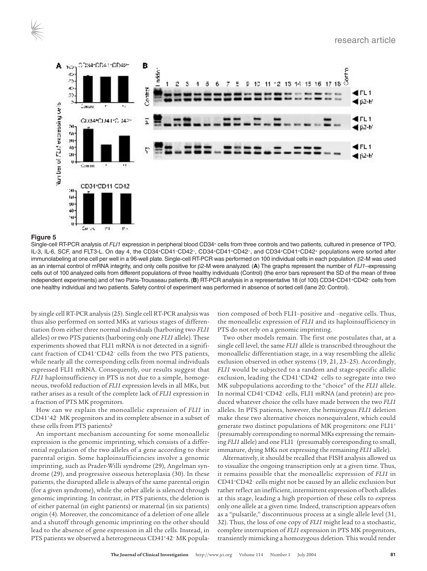

Single-cell RT-PCR analysis of FLI1 expression in peripheral blood CD34+ cells from three controls and two patients, cultured in presence of TPO, IL-3, IL-6, SCF, and FLT3-L. On day 4, the CD34+CD41–CD42–, CD34+CD41+CD42–, and CD34+CD41+CD42+ populations were sorted after immunolabeling at one cell per well in a 96-well plate. Single-cell RT-PCR was performed on 100 individual cells in each population. β2-M was used as an internal control of mRNA integrity, and only cells positive for β2-M were analyzed. (**A**) The graphs represent the number of FLI1–expressing cells out of 100 analyzed cells from different populations of three healthy individuals (Control) (the error bars represent the SD of the mean of three independent experiments) and of two Paris-Trousseau patients. (**B**) RT-PCR analysis in a representative 18 (of 100) CD34+CD41+CD42– cells from one healthy individual and two patients. Safety control of experiment was performed in absence of sorted cell (lane 20: Control).

by single cell RT-PCR analysis (25). Single cell RT-PCR analysis was thus also performed on sorted MKs at various stages of differentiation from either three normal individuals (harboring two *FLI1* alleles) or two PTS patients (harboring only one *FLI1* allele). These experiments showed that FLI1 mRNA is not detected in a significant fraction of CD41<sup>+</sup>CD42<sup>-</sup> cells from the two PTS patients, while nearly all the corresponding cells from normal individuals expressed FLI1 mRNA. Consequently, our results suggest that *FLI1* haploinsufficiency in PTS is not due to a simple, homogeneous, twofold reduction of *FLI1* expression levels in all MKs, but rather arises as a result of the complete lack of *FLI1* expression in a fraction of PTS MK progenitors.

How can we explain the monoallelic expression of *FLI1* in CD41+42– MK progenitors and its complete absence in a subset of these cells from PTS patients?

An important mechanism accounting for some monoallelic expression is the genomic imprinting, which consists of a differential regulation of the two alleles of a gene according to their parental origin. Some haploinsufficiencies involve a genomic imprinting, such as Prader-Willi syndrome (29), Angelman syndrome (29), and progressive osseous heteroplasia (30). In these patients, the disrupted allele is always of the same parental origin (for a given syndrome), while the other allele is silenced through genomic imprinting. In contrast, in PTS patients, the deletion is of either paternal (in eight patients) or maternal (in six patients) origin (4). Moreover, the concomitance of a deletion of one allele and a shutoff through genomic imprinting on the other should lead to the absence of gene expression in all the cells. Instead, in PTS patients we observed a heterogeneous CD41+42<sup>-</sup> MK population composed of both FLI1–positive and –negative cells. Thus, the monoallelic expression of *FLI1* and its haploinsufficiency in PTS do not rely on a genomic imprinting.

Two other models remain. The first one postulates that, at a single cell level, the same *FLI1* allele is transcribed throughout the monoallelic differentiation stage, in a way resembling the allelic exclusion observed in other systems (19, 21, 23–25). Accordingly, *FLI1* would be subjected to a random and stage-specific allelic exclusion, leading the CD41+CD42– cells to segregate into two MK subpopulations according to the "choice" of the *FLI1* allele. In normal CD41+CD42– cells, FLI1 mRNA (and protein) are produced whatever choice the cells have made between the two *FLI1* alleles. In PTS patients, however, the hemizygous *FLI1* deletion make these two alternative choices nonequivalent, which could generate two distinct populations of MK progenitors: one FLI1+ (presumably corresponding to normal MKs expressing the remaining *FLI1* allele) and one FLI1– (presumably corresponding to small, immature, dying MKs not expressing the remaining *FLI1* allele).

Alternatively, it should be recalled that FISH analysis allowed us to visualize the ongoing transcription only at a given time. Thus, it remains possible that the monoallelic expression of *FLI1* in CD41+CD42– cells might not be caused by an allelic exclusion but rather reflect an inefficient, intermittent expression of both alleles at this stage, leading a high proportion of these cells to express only one allele at a given time. Indeed, transcription appears often as a "pulsatile," discontinuous process at a single allele level (31, 32). Thus, the loss of one copy of *FLI1* might lead to a stochastic, complete interruption of *FLI1* expression in PTS MK progenitors, transiently mimicking a homozygous deletion. This would render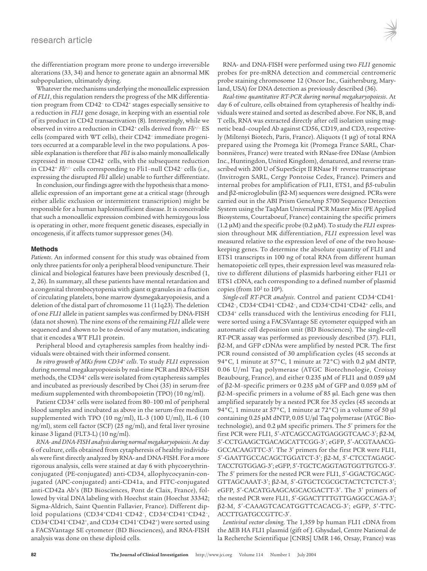#### research article

the differentiation program more prone to undergo irreversible alterations (33, 34) and hence to generate again an abnormal MK subpopulation, ultimately dying.

Whatever the mechanisms underlying the monoallelic expression of *FLI1*, this regulation renders the progress of the MK differentiation program from CD42– to CD42+ stages especially sensitive to a reduction in *FLI1* gene dosage, in keeping with an essential role of its product in CD42 transactivation (8). Interestingly, while we observed in vitro a reduction in CD42+ cells derived from *Fli+/–* ES cells (compared with WT cells), their CD42– immediate progenitors occurred at a comparable level in the two populations. A possible explanation is therefore that *Fli1* is also mainly monoallelically expressed in mouse CD42– cells, with the subsequent reduction in CD42+ *Fli+/–* cells corresponding to Fli1–null CD42– cells (i.e., expressing the disrupted *Fli1* allele) unable to further differentiate.

In conclusion, our findings agree with the hypothesis that a monoallelic expression of an important gene at a critical stage (through either allelic exclusion or intermittent transcription) might be responsible for a human haploinsufficient disease. It is conceivable that such a monoallelic expression combined with hemizygous loss is operating in other, more frequent genetic diseases, especially in oncogenesis, if it affects tumor suppressor genes (34).

#### **Methods**

*Patients*. An informed consent for this study was obtained from only three patients for only a peripheral blood venipuncture. Their clinical and biological features have been previously described (1, 2, 26). In summary, all these patients have mental retardation and a congenital thrombocytopenia with giant  $\alpha$  granules in a fraction of circulating platelets, bone marrow dysmegakaryopoiesis, and a deletion of the distal part of chromosome 11 (11q23). The deletion of one *FLI1* allele in patient samples was confirmed by DNA-FISH (data not shown). The nine exons of the remaining *FLI1* allele were sequenced and shown to be to devoid of any mutation, indicating that it encodes a WT FLI1 protein.

Peripheral blood and cytapheresis samples from healthy individuals were obtained with their informed consent.

*In vitro growth of MKs from CD34+ cells*. To study *FLI1* expression during normal megakaryopoiesis by real-time PCR and RNA-FISH methods, the CD34+ cells were isolated from cytapheresis samples and incubated as previously described by Choi (35) in serum-free medium supplemented with thrombopoietin (TPO) (10 ng/ml).

Patient CD34<sup>+</sup> cells were isolated from 80-100 ml of peripheral blood samples and incubated as above in the serum-free medium supplemented with TPO (10 ng/ml), IL-3 (100 U/ml), IL-6 (10 ng/ml), stem cell factor (SCF) (25 ng/ml), and fetal liver tyrosine kinase 3 ligand (FLT3-L) (10 ng/ml).

*RNA- and DNA-FISH analysis during normal megakaryopoiesis*. At day 6 of culture, cells obtained from cytapheresis of healthy individuals were first directly analyzed by RNA- and DNA-FISH. For a more rigorous analysis, cells were stained at day 6 with phycoerythrinconjugated (PE-conjugated) anti-CD34, allophycocyanin-conjugated (APC-conjugated) anti-CD41a, and FITC-conjugated anti-CD42a Ab's (BD Biosciences, Pont de Claix, France), followed by vital DNA labeling with Hoechst stain (Hoechst 33342; Sigma-Aldrich, Saint Quentin Fallavier, France). Different diploid populations (CD34+CD41–CD42–, CD34+CD41+CD42–, CD34+CD41+CD42+, and CD34–CD41+CD42+) were sorted using a FACSVantage SE cytometer (BD Biosciences), and RNA-FISH analysis was done on these diploid cells.

RNA- and DNA-FISH were performed using two *FLI1* genomic probes for pre-mRNA detection and commercial centromeric probe staining chromosome 12 (Oncor Inc., Gaithersburg, Maryland, USA) for DNA detection as previously described (36).

*Real-time quantitative RT-PCR during normal megakaryopoiesis*. At day 6 of culture, cells obtained from cytapheresis of healthy individuals were stained and sorted as described above. For NK, B, and T cells, RNA was extracted directly after cell isolation using magnetic bead–coupled Ab against CD56, CD19, and CD3, respectively (Miltenyi Biotech, Paris, France). Aliquots (1 μg) of total RNA prepared using the Promega kit (Promega France SARL, Charbonnières, France) were treated with RNase-free DNase (Ambion Inc., Huntingdon, United Kingdom), denatured, and reverse transcribed with 200 U of SuperScipt II RNase H– reverse transcriptase (Invitrogen SARL, Cergy Pontoise Cedex, France). Primers and internal probes for amplification of FLI1, ETS1, and β5-tubulin and β2-microglobulin (β2-M) sequences were designed. PCRs were carried out in the ABI Prism GeneAmp 5700 Sequence Detection System using the TaqMan Universal PCR Master Mix (PE Applied Biosystems, Courtaboeuf, France) containing the specific primers (1.2 μM) and the specific probe (0.2 μM). To study the *FLI1* expression throughout MK differentiation, *FLI1* expression level was measured relative to the expression level of one of the two housekeeping genes. To determine the absolute quantity of FLI1 and ETS1 transcripts in 100 ng of total RNA from different human hematopoietic cell types, their expression level was measured relative to different dilutions of plasmids harboring either FLI1 or ETS1 cDNA, each corresponding to a defined number of plasmid copies (from  $10^2$  to  $10^6$ ).

*Single-cell RT-PCR analysis*. Control and patient CD34+CD41– CD42–, CD34+CD41+CD42–, and CD34+CD41+CD42+ cells, and CD34+ cells transduced with the lentivirus encoding for FLI1, were sorted using a FACSVantage SE cytometer equipped with an automatic cell deposition unit (BD Biosciences). The single-cell RT-PCR assay was performed as previously described (37). FLI1, β2-M, and GFP cDNAs were amplified by nested PCR. The first PCR round consisted of 30 amplification cycles (45 seconds at 94°C, 1 minute at 57°C, 1 minute at 72°C) with 0.2 μM dNTP, 0.06 U/ml Taq polymerase (ATGC Biotechnologie, Croissy Beaubourg, France), and either 0.235 μM of FLI1 and 0.059 μM of β2-M–specific primers or 0.235 μM of GFP and 0.059 μM of β2-M–specific primers in a volume of 85 μl. Each gene was then amplified separately by a nested PCR for 35 cycles (45 seconds at 94°C, 1 minute at 57°C, 1 minute at 72°C) in a volume of 50 μl containing 0.25 μM dNTP, 0.05 U/μl Taq polymerase (ATGC Biotechnologie), and 0.2 μM specific primers. The 5ʹ primers for the first PCR were FLI1*,* 5ʹ-ATCAGCCAGTGAGGGTCAAC-3ʹ; β2-M*,* 5ʹ-CCTGAAGCTGACAGCATTCGG-3ʹ; eGFP, 5ʹ-ACGTAAACG-GCCACAAGTTC-3ʹ. The 3ʹ primers for the first PCR were FLI1, 5ʹ-GAATTGCCACAGCTGGATCT-3ʹ; β2-M, 5ʹ-CTCCTAGAGC-TACCTGTGGAG-3ʹ; eGFP, 5ʹ-TGCTCAGGTAGTGGTTGTCG-3ʹ. The 5ʹ primers for the nested PCR were FLI1, 5ʹ-GGACTGCAGC-GTTAGCAAAT-3ʹ; β*2*-M, 5ʹ-GTGCTCGCGCTACTCTCTCT-3ʹ; eGFP, 5ʹ-CACATGAAGCAGCACGACTT-3ʹ. The 3ʹ primers of the nested PCR were FLI1, 5ʹ-GGACTTTTGTTGAGGCCAGA-3ʹ; β2-M, 5ʹ-CAAAGTCACATGGTTCACACG-3ʹ; eGFP, 5ʹ-TTC-ACCTTGATGCCGTTC-3ʹ.

*Lentiviral vector cloning*. The 1,359 bp human FLI1 cDNA from the ΔEB HA FLI1 plasmid (gift of J. Ghysdael, Centre National de la Recherche Scientifique [CNRS] UMR 146, Orsay, France) was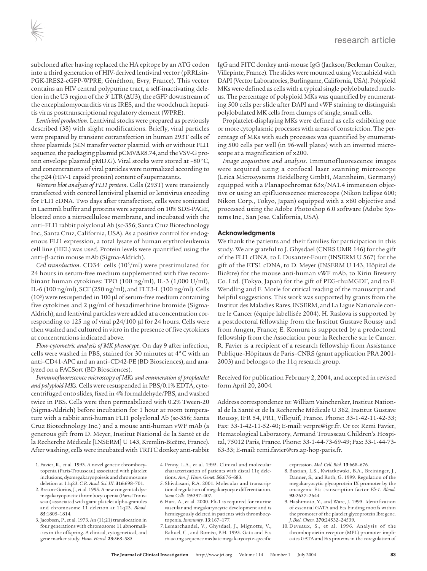subcloned after having replaced the HA epitope by an ATG codon into a third generation of HIV-derived lentiviral vector (pRRLsin-PGK-IRES2-eGFP-WPRE; Généthon, Evry, France). This vector contains an HIV central polypurine tract, a self-inactivating deletion in the U3 region of the 3ʹ LTR (ΔU3), the eGFP downstream of the encephalomyocarditis virus IRES, and the woodchuck hepatitis virus posttranscriptional regulatory element (WPRE).

*Lentiviral production*. Lentiviral stocks were prepared as previously described (38) with slight modifications. Briefly, viral particles were prepared by transient cotransfection in human 293T cells of three plasmids (SIN transfer vector plasmid, with or without FLI1 sequence, the packaging plasmid pCMVΔR8.74, and the VSV-G protein envelope plasmid pMD.G). Viral stocks were stored at –80°C, and concentrations of viral particles were normalized according to the p24 (HIV-1 capsid protein) content of supernatants.

*Western blot analysis of FLI1 protein*. Cells (293T) were transiently transfected with control lentiviral plasmid or lentivirus encoding for FLI1 cDNA. Two days after transfection, cells were sonicated in Laemmli buffer and proteins were separated on 10% SDS-PAGE, blotted onto a nitrocellulose membrane, and incubated with the anti–FLI1 rabbit polyclonal Ab (sc-356; Santa Cruz Biotechnology Inc., Santa Cruz, California, USA). As a positive control for endogenous FLI1 expression, a total lysate of human erythroleukemia cell line (HEL) was used. Protein levels were quantified using the anti–β-actin mouse mAb (Sigma-Aldrich).

*Cell transduction*. CD34+ cells (105/ml) were prestimulated for 24 hours in serum-free medium supplemented with five recombinant human cytokines: TPO (100 ng/ml), IL-3 (1,000 U/ml), IL-6 (100 ng/ml), SCF (250 ng/ml), and FLT3-L (100 ng/ml). Cells (105) were resuspended in 100 μl of serum-free medium containing five cytokines and 2 μg/ml of hexadimethrine bromide (Sigma-Aldrich), and lentiviral particles were added at a concentration corresponding to 125 ng of viral p24/100 μl for 24 hours. Cells were then washed and cultured in vitro in the presence of five cytokines at concentrations indicated above.

*Flow-cytometric analysis of MK phenotype*. On day 9 after infection, cells were washed in PBS, stained for 30 minutes at 4°C with an anti–CD41-APC and an anti–CD42-PE (BD Biosciences), and analyzed on a FACSort (BD Biosciences).

*Immunofluorescence microscopy of MKs and enumeration of proplatelet and polyploid MKs*. Cells were resuspended in PBS/0.1% EDTA, cytocentrifuged onto slides, fixed in 4% formaldehyde/PBS, and washed twice in PBS. Cells were then permeabilized with 0.2% Tween-20 (Sigma-Aldrich) before incubation for 1 hour at room temperature with a rabbit anti-human FLI1 polyclonal Ab (sc-356; Santa Cruz Biotechnology Inc.) and a mouse anti-human vWF mAb (a generous gift from D. Meyer, Institut National de la Santé et de la Recherche Médicale [INSERM] U 143, Kremlin-Bicêtre, France). After washing, cells were incubated with TRITC donkey anti-rabbit

- 1. Favier, R., et al. 1993. A novel genetic thrombocytopenia (Paris-Trousseau) associated with platelet inclusions, dysmegakaryopoiesis and chromosome deletion at 11q23. *C.R. Acad. Sci. III*. **316**:698–701.
- 2. Breton-Gorius, J., et al. 1995. A new congenital dysmegakaryopoietic thrombocytopenia (Paris-Trousseau) associated with giant platelet alpha-granules and chromosome 11 deletion at 11q23. *Blood.* **85**:1805–1814.
- 3. Jacobsen, P., et al. 1973. An (11;21) translocation in four generations with chromosome 11 abnormalities in the offspring. A clinical, cytogenetical, and gene marker study. *Hum. Hered.* **23**:568–585.

IgG and FITC donkey anti-mouse IgG (Jackson/Beckman Coulter, Villepinte, France). The slides were mounted using Vectashield with DAPI (Vector Laboratories, Burlingame, California, USA). Polyploid MKs were defined as cells with a typical single polylobulated nucleus. The percentage of polyploid MKs was quantified by enumerating 500 cells per slide after DAPI and vWF staining to distinguish polylobulated MK cells from clumps of single, small cells.

Proplatelet-displaying MKs were defined as cells exhibiting one or more cytoplasmic processes with areas of constriction. The percentage of MKs with such processes was quantified by enumerating 500 cells per well (in 96-well plates) with an inverted microscope at a magnification of ×200.

*Image acquisition and analysis*. Immunofluorescence images were acquired using a confocal laser scanning microscope (Leica Microsystems Heidelberg GmbH, Mannheim, Germany) equipped with a Planapochromat 63×/NA1.4 immersion objective or using an epifluorescence microscope (Nikon Eclipse 600; Nikon Corp., Tokyo, Japan) equipped with a ×60 objective and processed using the Adobe Photoshop 6.0 software (Adobe Systems Inc., San Jose, California, USA).

#### **Acknowledgments**

We thank the patients and their families for participation in this study. We are grateful to J. Ghysdael (CNRS UMR 146) for the gift of the FLI1 cDNA, to I. Dusanter-Fourt (INSERM U 567) for the gift of the ETS1 cDNA, to D. Meyer (INSERM U 143, Hôpital de Bicêtre) for the mouse anti-human vWF mAb, to Kirin Brewery Co. Ltd. (Tokyo, Japan) for the gift of PEG-rhuMGDF, and to F. Wendling and F. Morle for critical reading of the manuscript and helpful suggestions. This work was supported by grants from the Institut des Maladies Rares, INSERM, and La Ligue Nationale contre le Cancer (équipe labellisée 2004). H. Raslova is supported by a postdoctoral fellowship from the Institut Gustave Roussy and from Amgen, France; E. Komura is supported by a predoctoral fellowship from the Association pour la Recherche sur le Cancer. R. Favier is a recipient of a research fellowship from Assistance Publique–Hôpitaux de Paris–CNRS (grant application PRA 2001- 2003) and belongs to the 11q research group.

Received for publication February 2, 2004, and accepted in revised form April 20, 2004.

Address correspondence to: William Vainchenker, Institut National de la Santé et de la Recherche Médicale U 362, Institut Gustave Roussy, IFR 54, PR1, Villejuif, France. Phone: 33-1-42-11-42-33; Fax: 33-1-42-11-52-40; E-mail: verpre@igr.fr. Or to: Remi Favier, Hematological Laboratory, Armand Trousseau Children's Hospital, 75012 Paris, France. Phone: 33-1-44-73-69-49; Fax: 33-1-44-73- 63-33; E-mail: remi.favier@trs.ap-hop-paris.fr.

- 4. Penny, L.A., et al. 1995. Clinical and molecular characterization of patients with distal 11q deletions. *Am. J. Hum. Genet.* **56**:676–683.
- 5. Shivdasani, R.A. 2001. Molecular and transcriptional regulation of megakaryocyte differentiation. *Stem Cells.* **19**:397–407.
- 6. Hart, A., et al. 2000. Fli-1 is required for murine vascular and megakaryocytic development and is hemizygously deleted in patients with thrombocytopenia. *Immunity.* **13**:167–177.
- 7. Lemarchandel, V., Ghysdael, J., Mignotte, V., Rahuel, C., and Roméo, P.H. 1993. Gata and Ets *cis*-acting sequence mediate megakaryocyte-specific

expression. *Mol. Cell. Biol.* **13**:668–676.

- 8. Bastian, L.S., Kwiatkowski, B.A., Breininger, J., Danner, S., and Roth, G. 1999. Regulation of the megakaryocytic glycoprotein IX promoter by the oncogenic Ets transcription factor *Fli-1*. *Blood.* **93**:2637–2644.
- 9. Hashimoto, Y., and Ware, J. 1995. Identification of essential GATA and Ets binding motifs within the promoter of the platelet glycoprotein Ibα gene. *J. Biol. Chem.* **270**:24532–24539.
- 10. Deveaux, S., et al. 1996. Analysis of the thrombopoietin receptor (MPL) promoter implicates GATA and Ets proteins in the coregulation of